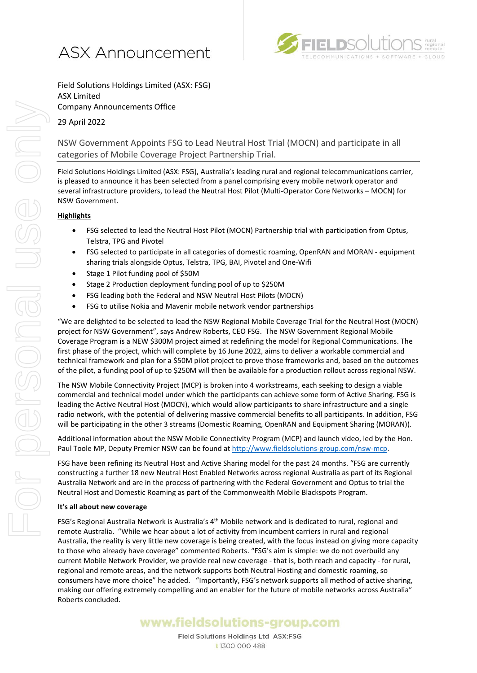



Field Solutions Holdings Limited (ASX: FSG) ASX Limited Company Announcements Office

29 April 2022

NSW Government Appoints FSG to Lead Neutral Host Trial (MOCN) and participate in all categories of Mobile Coverage Project Partnership Trial.

Field Solutions Holdings Limited (ASX: FSG), Australia's leading rural and regional telecommunications carrier, is pleased to announce it has been selected from a panel comprising every mobile network operator and several infrastructure providers, to lead the Neutral Host Pilot (Multi-Operator Core Networks – MOCN) for NSW Government.

## **Highlights**

- FSG selected to lead the Neutral Host Pilot (MOCN) Partnership trial with participation from Optus, Telstra, TPG and Pivotel
- FSG selected to participate in all categories of domestic roaming, OpenRAN and MORAN equipment sharing trials alongside Optus, Telstra, TPG, BAI, Pivotel and One-Wifi
- Stage 1 Pilot funding pool of \$50M
- Stage 2 Production deployment funding pool of up to \$250M
- FSG leading both the Federal and NSW Neutral Host Pilots (MOCN)
- FSG to utilise Nokia and Mavenir mobile network vendor partnerships

"We are delighted to be selected to lead the NSW Regional Mobile Coverage Trial for the Neutral Host (MOCN) project for NSW Government", says Andrew Roberts, CEO FSG. The NSW Government Regional Mobile Coverage Program is a NEW \$300M project aimed at redefining the model for Regional Communications. The first phase of the project, which will complete by 16 June 2022, aims to deliver a workable commercial and technical framework and plan for a \$50M pilot project to prove those frameworks and, based on the outcomes of the pilot, a funding pool of up to \$250M will then be available for a production rollout across regional NSW.

The NSW Mobile Connectivity Project (MCP) is broken into 4 workstreams, each seeking to design a viable commercial and technical model under which the participants can achieve some form of Active Sharing. FSG is leading the Active Neutral Host (MOCN), which would allow participants to share infrastructure and a single radio network, with the potential of delivering massive commercial benefits to all participants. In addition, FSG will be participating in the other 3 streams (Domestic Roaming, OpenRAN and Equipment Sharing (MORAN)).

Additional information about the NSW Mobile Connectivity Program (MCP) and launch video, led by the Hon. Paul Toole MP, Deputy Premier NSW can be found a[t http://www.fieldsolutions-group.com/nsw-mcp](http://www.fieldsolutions-group.com/nsw-mcp).

FSG have been refining its Neutral Host and Active Sharing model for the past 24 months. "FSG are currently constructing a further 18 new Neutral Host Enabled Networks across regional Australia as part of its Regional Australia Network and are in the process of partnering with the Federal Government and Optus to trial the Neutral Host and Domestic Roaming as part of the Commonwealth Mobile Blackspots Program.

### **It's all about new coverage**

FSG's Regional Australia Network is Australia's 4<sup>th</sup> Mobile network and is dedicated to rural, regional and remote Australia. "While we hear about a lot of activity from incumbent carriers in rural and regional Australia, the reality is very little new coverage is being created, with the focus instead on giving more capacity to those who already have coverage" commented Roberts. "FSG's aim is simple: we do not overbuild any current Mobile Network Provider, we provide real new coverage - that is, both reach and capacity - for rural, regional and remote areas, and the network supports both Neutral Hosting and domestic roaming, so consumers have more choice" he added. "Importantly, FSG's network supports all method of active sharing, making our offering extremely compelling and an enabler for the future of mobile networks across Australia" Roberts concluded.

# www.fieldsolutions-group.com

Field Solutions Holdings Ltd ASX:FSG t 1300 000 488